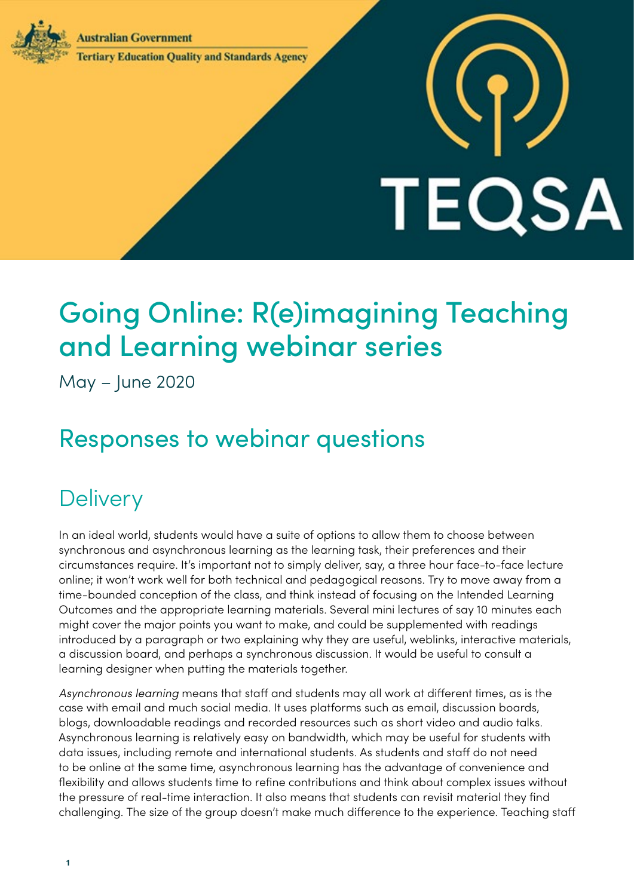**Australian Government** 



### **Tertiary Education Quality and Standards Agency**

# TEQSA

# Going Online: R(e)imagining Teaching and Learning webinar series

May – June 2020

# Responses to webinar questions

# **Delivery**

In an ideal world, students would have a suite of options to allow them to choose between synchronous and asynchronous learning as the learning task, their preferences and their circumstances require. It's important not to simply deliver, say, a three hour face-to-face lecture online; it won't work well for both technical and pedagogical reasons. Try to move away from a time-bounded conception of the class, and think instead of focusing on the Intended Learning Outcomes and the appropriate learning materials. Several mini lectures of say 10 minutes each might cover the major points you want to make, and could be supplemented with readings introduced by a paragraph or two explaining why they are useful, weblinks, interactive materials, a discussion board, and perhaps a synchronous discussion. It would be useful to consult a learning designer when putting the materials together.

*Asynchronous learning* means that staff and students may all work at different times, as is the case with email and much social media. It uses platforms such as email, discussion boards, blogs, downloadable readings and recorded resources such as short video and audio talks. Asynchronous learning is relatively easy on bandwidth, which may be useful for students with data issues, including remote and international students. As students and staff do not need to be online at the same time, asynchronous learning has the advantage of convenience and flexibility and allows students time to refine contributions and think about complex issues without the pressure of real-time interaction. It also means that students can revisit material they find challenging. The size of the group doesn't make much difference to the experience. Teaching staff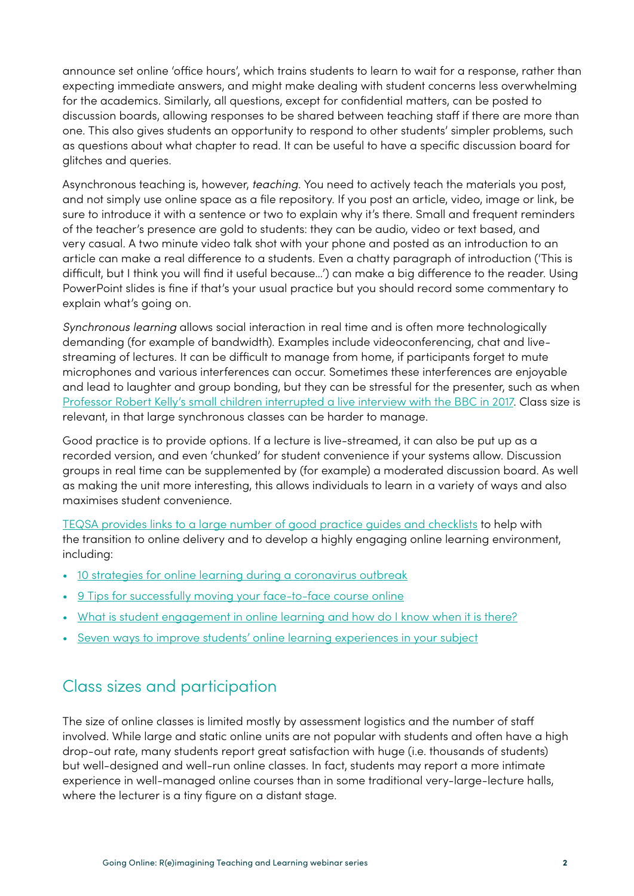announce set online 'office hours', which trains students to learn to wait for a response, rather than expecting immediate answers, and might make dealing with student concerns less overwhelming for the academics. Similarly, all questions, except for confidential matters, can be posted to discussion boards, allowing responses to be shared between teaching staff if there are more than one. This also gives students an opportunity to respond to other students' simpler problems, such as questions about what chapter to read. It can be useful to have a specific discussion board for glitches and queries.

Asynchronous teaching is, however, *teaching*. You need to actively teach the materials you post, and not simply use online space as a file repository. If you post an article, video, image or link, be sure to introduce it with a sentence or two to explain why it's there. Small and frequent reminders of the teacher's presence are gold to students: they can be audio, video or text based, and very casual. A two minute video talk shot with your phone and posted as an introduction to an article can make a real difference to a students. Even a chatty paragraph of introduction ('This is difficult, but I think you will find it useful because…') can make a big difference to the reader. Using PowerPoint slides is fine if that's your usual practice but you should record some commentary to explain what's going on.

*Synchronous learning* allows social interaction in real time and is often more technologically demanding (for example of bandwidth). Examples include videoconferencing, chat and livestreaming of lectures. It can be difficult to manage from home, if participants forget to mute microphones and various interferences can occur. Sometimes these interferences are enjoyable and lead to laughter and group bonding, but they can be stressful for the presenter, such as when [Professor Robert Kelly's small children interrupted a live interview with the BBC in 2017](https://www.theguardian.com/media/2017/dec/20/robert-kelly-south-korea-bbc-kids-gatecrash-viral-storm). Class size is relevant, in that large synchronous classes can be harder to manage.

Good practice is to provide options. If a lecture is live-streamed, it can also be put up as a recorded version, and even 'chunked' for student convenience if your systems allow. Discussion groups in real time can be supplemented by (for example) a moderated discussion board. As well as making the unit more interesting, this allows individuals to learn in a variety of ways and also maximises student convenience.

[TEQSA provides links to a large number of good practice guides and checklists](https://www.teqsa.gov.au/online-learning-good-practice) to help with the transition to online delivery and to develop a highly engaging online learning environment, including:

- [10 strategies for online learning during a coronavirus outbreak](https://www.iste.org/explore/learning-during-covid-19/10-strategies-online-learning-during-coronavirus-outbreak)
- [9 Tips for successfully moving your face-to-face course online](https://elearnmag.acm.org/archive.cfm?aid=2509419)
- [What is student engagement in online learning and how do I know when it is there?](https://melbourne-cshe.unimelb.edu.au/__data/assets/pdf_file/0004/3362125/student-engagement-online-learning_final.pdf)
- [Seven ways to improve students' online learning experiences in your subject](https://melbourne-cshe.unimelb.edu.au/__data/assets/pdf_file/0011/3357164/improving-online-learning_final.pdf)

# Class sizes and participation

The size of online classes is limited mostly by assessment logistics and the number of staff involved. While large and static online units are not popular with students and often have a high drop-out rate, many students report great satisfaction with huge (i.e. thousands of students) but well-designed and well-run online classes. In fact, students may report a more intimate experience in well-managed online courses than in some traditional very-large-lecture halls, where the lecturer is a tiny figure on a distant stage.